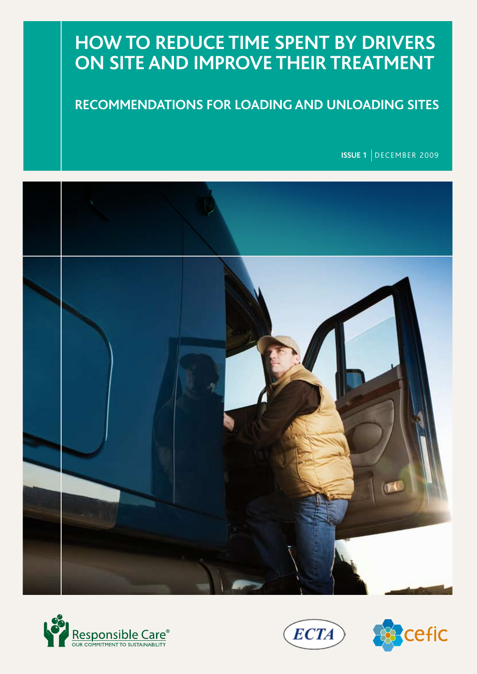# **How to reduce time spent by drivers on site and improve their treatment**

## **Recommendations for loading and unloading sites**

**ISSUE 1** DECEMBER 2009







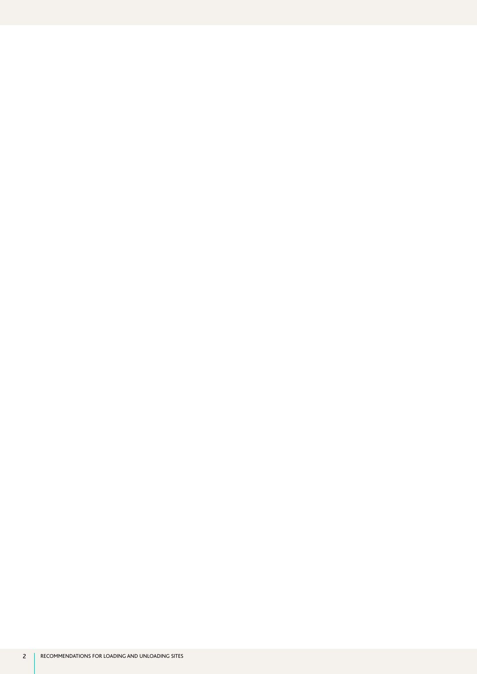#### 2 | RECOMMENDATIONS FOR LOADING AND UNLOADING SITES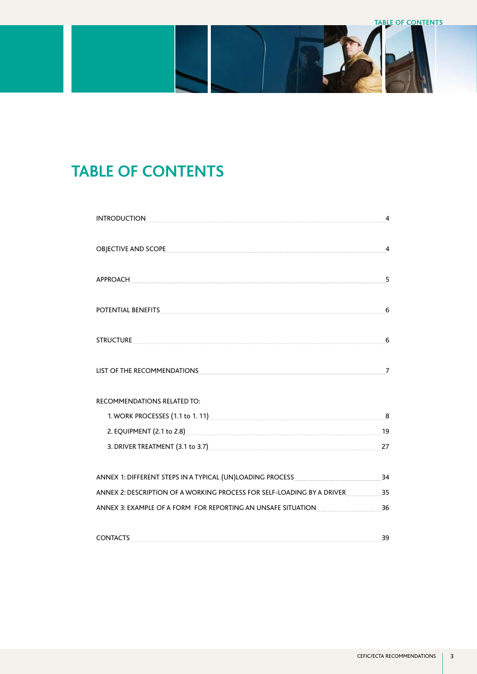

# **TABLE OF CONTENTS**

| OBJECTIVE AND SCOPE 4                                                     |    |
|---------------------------------------------------------------------------|----|
|                                                                           |    |
| POTENTIAL BENEFITS                                                        | 6  |
| STRUCTURE 6                                                               |    |
| LIST OF THE RECOMMENDATIONS THE RECOMMENDATIONS                           |    |
| <b>RECOMMENDATIONS RELATED TO:</b>                                        |    |
| 1. WORK PROCESSES (1.1 to 1. 11) 8                                        |    |
| 2. EQUIPMENT (2.1 to 2.8) 19                                              |    |
| 3. DRIVER TREATMENT (3.1 to 3.7) 27                                       |    |
| ANNEX 1: DIFFERENT STEPS IN A TYPICAL (UN)LOADING PROCESS 34              |    |
| ANNEX 2: DESCRIPTION OF A WORKING PROCESS FOR SELF-LOADING BY A DRIVER 35 |    |
| ANNEX 3: EXAMPLE OF A FORM FOR REPORTING AN UNSAFE SITUATION              |    |
| CONTACTS                                                                  | 39 |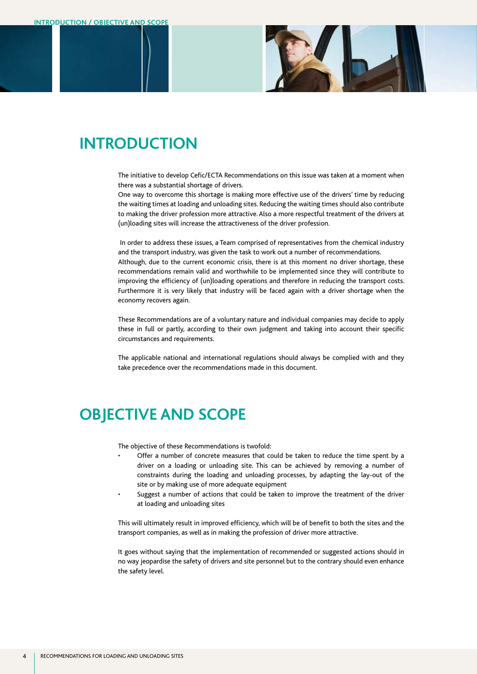

# **INTRODUCTION**

The initiative to develop Cefic/ECTA Recommendations on this issue was taken at a moment when there was a substantial shortage of drivers.

One way to overcome this shortage is making more effective use of the drivers' time by reducing the waiting times at loading and unloading sites. Reducing the waiting times should also contribute to making the driver profession more attractive. Also a more respectful treatment of the drivers at (un)loading sites will increase the attractiveness of the driver profession.

In order to address these issues, a Team comprised of representatives from the chemical industry and the transport industry, was given the task to work out a number of recommendations. Although, due to the current economic crisis, there is at this moment no driver shortage, these recommendations remain valid and worthwhile to be implemented since they will contribute to improving the efficiency of (un)loading operations and therefore in reducing the transport costs. Furthermore it is very likely that industry will be faced again with a driver shortage when the economy recovers again.

These Recommendations are of a voluntary nature and individual companies may decide to apply these in full or partly, according to their own judgment and taking into account their specific circumstances and requirements.

The applicable national and international regulations should always be complied with and they take precedence over the recommendations made in this document.

# **OBJECTIVE AND SCOPE**

The objective of these Recommendations is twofold:

- Offer a number of concrete measures that could be taken to reduce the time spent by a driver on a loading or unloading site. This can be achieved by removing a number of constraints during the loading and unloading processes, by adapting the lay-out of the site or by making use of more adequate equipment
- Suggest a number of actions that could be taken to improve the treatment of the driver at loading and unloading sites

This will ultimately result in improved efficiency, which will be of benefit to both the sites and the transport companies, as well as in making the profession of driver more attractive.

It goes without saying that the implementation of recommended or suggested actions should in no way jeopardise the safety of drivers and site personnel but to the contrary should even enhance the safety level.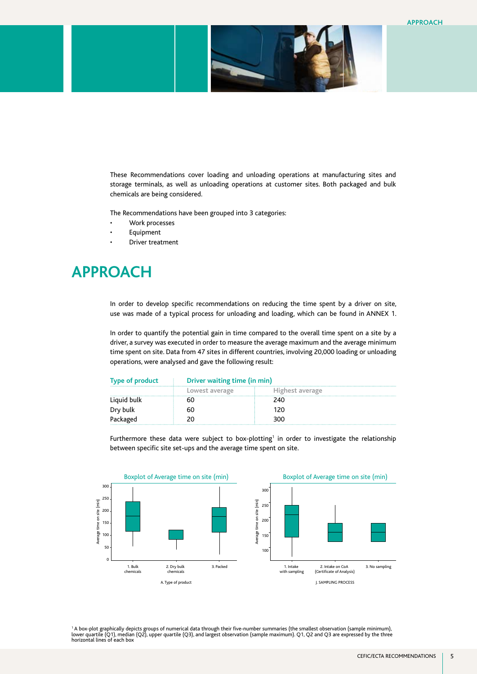

These Recommendations cover loading and unloading operations at manufacturing sites and storage terminals, as well as unloading operations at customer sites. Both packaged and bulk chemicals are being considered.

The Recommendations have been grouped into 3 categories:

- Work processes
- **Equipment**
- **Driver treatment**

# **APPROACH**

In order to develop specific recommendations on reducing the time spent by a driver on site, use was made of a typical process for unloading and loading, which can be found in ANNEX 1.

In order to quantify the potential gain in time compared to the overall time spent on a site by a driver, a survey was executed in order to measure the average maximum and the average minimum time spent on site. Data from 47 sites in different countries, involving 20,000 loading or unloading operations, were analysed and gave the following result:

| Type of product | Driver waiting time (in min) |                 |  |
|-----------------|------------------------------|-----------------|--|
|                 | Lowest average               | Highest average |  |
| Liguid bulk     |                              | 240             |  |
| Dry bulk        |                              |                 |  |
| Packaged        |                              |                 |  |

Furthermore these data were subject to box-plotting<sup>1</sup> in order to investigate the relationship between specific site set-ups and the average time spent on site.



' A box-plot graphically depicts groups of numerical data through their five-number summaries (the smallest observation (sample minimum),<br>lower quartile (Q1), median (Q2), upper quartile (Q3), and largest observation (samp (s<br><sup>Ori</sup>  $\mathbf{B}$  of  $\mathbf{A}$  average time on site (min) on site (min) on site (min) on site (min) on site (min) on site (min) on  $\mathbf{B}$ ss<br>- $\mathbf{B}$  of  $\mathbf{A}$  and site (min) on site (min) on site (min) on site (min) on site (min) on site (min) on site (min) on  $\mathbf{B}$ 

1. Intake on CoA (Certificate of Analysis)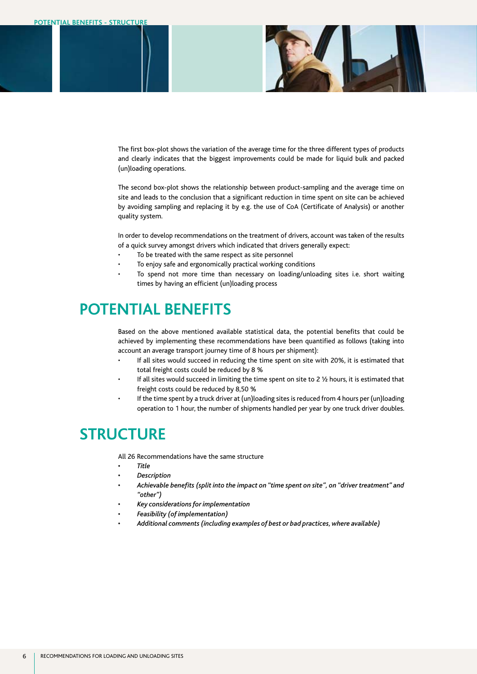

The first box-plot shows the variation of the average time for the three different types of products and clearly indicates that the biggest improvements could be made for liquid bulk and packed (un)loading operations.

The second box-plot shows the relationship between product-sampling and the average time on site and leads to the conclusion that a significant reduction in time spent on site can be achieved by avoiding sampling and replacing it by e.g. the use of CoA (Certificate of Analysis) or another quality system.

In order to develop recommendations on the treatment of drivers, account was taken of the results of a quick survey amongst drivers which indicated that drivers generally expect:

- To be treated with the same respect as site personnel
- To enjoy safe and ergonomically practical working conditions
- To spend not more time than necessary on loading/unloading sites i.e. short waiting times by having an efficient (un)loading process

## **POTENTIAL BENEFITS**

Based on the above mentioned available statistical data, the potential benefits that could be achieved by implementing these recommendations have been quantified as follows (taking into account an average transport journey time of 8 hours per shipment):

- If all sites would succeed in reducing the time spent on site with 20%, it is estimated that total freight costs could be reduced by 8 %
- If all sites would succeed in limiting the time spent on site to 2  $\frac{1}{2}$  hours, it is estimated that freight costs could be reduced by 8,50 %
- If the time spent by a truck driver at (un)loading sites is reduced from 4 hours per (un)loading operation to 1 hour, the number of shipments handled per year by one truck driver doubles.

## **STRUCTURE**

All 26 Recommendations have the same structure

- *• Title*
- *• Description*
- *• Achievable benefits (split into the impact on "time spent on site", on "driver treatment" and "other")*
- *• Key considerationsfor implementation*
- *• Feasibility (of implementation)*
- *• Additional comments(including examples of best or bad practices,where available)*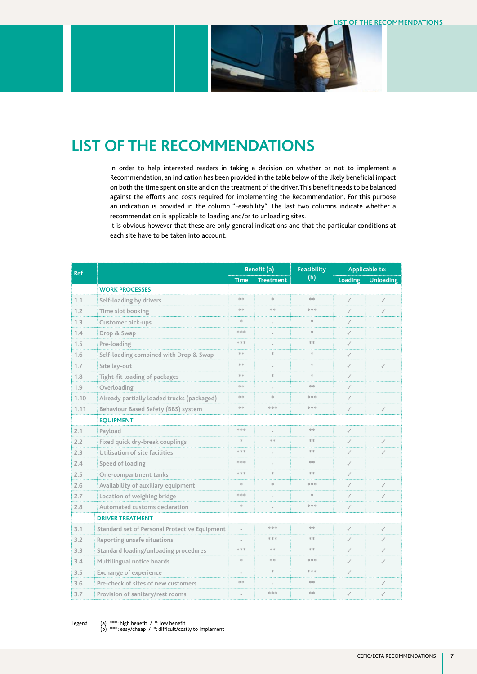

# **LIST OF THE RECOMMENDATIONS**

In order to help interested readers in taking a decision on whether or not to implement a Recommendation, an indication has been provided in the table below of the likely beneficial impact on both the time spent on site and on the treatment of the driver. This benefit needs to be balanced against the efforts and costs required for implementing the Recommendation. For this purpose an indication is provided in the column "Feasibility". The last two columns indicate whether a recommendation is applicable to loading and/or to unloading sites.

It is obvious however that these are only general indications and that the particular conditions at each site have to be taken into account.

| <b>Ref</b> |                                               | <b>Benefit</b> (a)<br>Time<br><b>Treatment</b> |                   | <b>Feasibility</b> | <b>Applicable to:</b> |                   |
|------------|-----------------------------------------------|------------------------------------------------|-------------------|--------------------|-----------------------|-------------------|
|            |                                               |                                                |                   | (b)                |                       | Loading Unloading |
|            | <b>WORK PROCESSES</b>                         |                                                |                   |                    |                       |                   |
| 1.1        | Self-loading by drivers                       | **                                             | $\frac{1}{2} \xi$ | $**$               | ✓                     | ✓                 |
| 1.2        | Time slot booking                             | **                                             | $**$              | ***                | ✓                     | ✓                 |
| 1.3        | Customer pick-ups                             | $*$                                            |                   | $*$                | ✓                     |                   |
| 1.4        | Drop & Swap                                   | ***                                            |                   | $\frac{1}{2}$      | ✓                     |                   |
| 1.5        | Pre-loading                                   | ***                                            |                   | **                 | ✓                     |                   |
| 1.6        | Self-loading combined with Drop & Swap        | **                                             | $\frac{1}{2} \xi$ | $\frac{1}{2}$      | ✓                     |                   |
| 1.7        | Site lay-out                                  | **                                             |                   | $\frac{1}{2} \xi$  | ✓                     | ✓                 |
| 1.8        | Tight-fit loading of packages                 | **                                             | $\frac{1}{2}$     | $\frac{1}{2} \xi$  | ✓                     |                   |
| 1.9        | Overloading                                   | **                                             |                   | $**$               | ✓                     |                   |
| 1.10       | Already partially loaded trucks (packaged)    | **                                             | $\frac{1}{2} \xi$ | ***                | ✓                     |                   |
| 1.11       | <b>Behaviour Based Safety (BBS) system</b>    | $**$                                           | ***               | ***                | ✓                     | ✓                 |
|            | <b>EQUIPMENT</b>                              |                                                |                   |                    |                       |                   |
| 2.1        | Payload                                       | ***                                            |                   | **                 | ✓                     |                   |
| 2.2        | Fixed quick dry-break couplings               | $\frac{1}{\sqrt{2}}$                           | **                | $**$               | ✓                     | √                 |
| 2.3        | Utilisation of site facilities                | ***                                            |                   | **                 | ✓                     | ✓                 |
| 2.4        | Speed of loading                              | ***                                            |                   | **                 | ✓                     |                   |
| 2.5        | One-compartment tanks                         | ***                                            | $\frac{1}{2} \xi$ | **                 | $\checkmark$          |                   |
| 2.6        | Availability of auxiliary equipment           | $\frac{1}{\sqrt{2}}$                           | $\frac{1}{2} \xi$ | ***                | ✓                     | ✓                 |
| 2.7        | Location of weighing bridge                   | ***                                            |                   | $\frac{1}{2}$      | ✓                     | ✓                 |
| 2.8        | Automated customs declaration                 | *                                              |                   | ***                | ✓                     |                   |
|            | <b>DRIVER TREATMENT</b>                       |                                                |                   |                    |                       |                   |
| 3.1        | Standard set of Personal Protective Equipment |                                                | ***               | $**$               | ✓                     | ✓                 |
| 3.2        | Reporting unsafe situations                   | $\overline{\phantom{a}}$                       | ***               | **                 | ✓                     | ✓                 |
| 3.3        | Standard loading/unloading procedures         | ***                                            | **                | **                 | ✓                     | ✓                 |
| 3.4        | Multilingual notice boards                    | $\frac{1}{\sqrt{2}}$                           | $**$              | ***                | ✓                     | ✓                 |
| 3.5        | <b>Exchange of experience</b>                 | $\overline{a}$                                 | $\frac{1}{2} \xi$ | ***                | ✓                     |                   |
| 3.6        | Pre-check of sites of new customers           | **                                             |                   | **                 |                       | √                 |
| 3.7        | Provision of sanitary/rest rooms              |                                                | ***               | $**$               | ✓                     | ✓                 |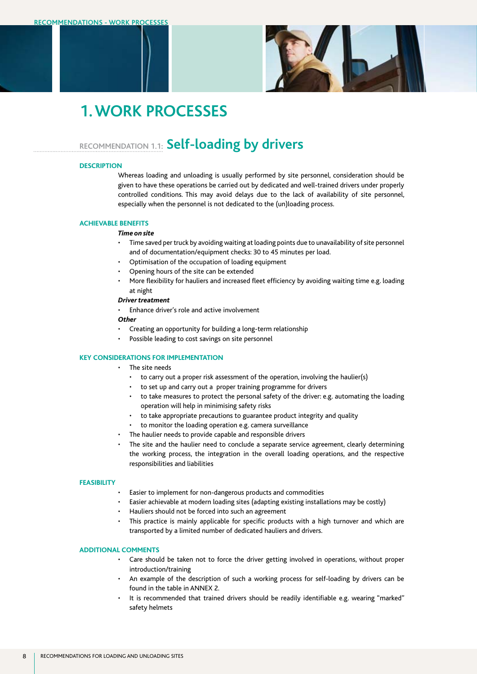

# **1. Work Processes**

## **RECOMMENDATION 1.1: Self-loading by drivers**

#### **Description**

Whereas loading and unloading is usually performed by site personnel, consideration should be given to have these operations be carried out by dedicated and well-trained drivers under properly controlled conditions. This may avoid delays due to the lack of availability of site personnel, especially when the personnel is not dedicated to the (un)loading process.

#### **Achievable benefits**

#### *Time on site*

- Time saved per truck by avoiding waiting at loading points due to unavailability of site personnel and of documentation/equipment checks: 30 to 45 minutes per load.
- Optimisation of the occupation of loading equipment
- Opening hours of the site can be extended
- More flexibility for hauliers and increased fleet efficiency by avoiding waiting time e.g. loading at night

#### *Driver treatment*

Enhance driver's role and active involvement

#### *Other*

- Creating an opportunity for building a long-term relationship
- Possible leading to cost savings on site personnel

#### **Key considerations for implementation**

- The site needs
	- to carry out a proper risk assessment of the operation, involving the haulier(s)
	- to set up and carry out a proper training programme for drivers
	- • to take measures to protect the personal safety of the driver: e.g. automating the loading operation will help in minimising safety risks
	- to take appropriate precautions to guarantee product integrity and quality
	- to monitor the loading operation e.g. camera surveillance
- The haulier needs to provide capable and responsible drivers
- The site and the haulier need to conclude a separate service agreement, clearly determining the working process, the integration in the overall loading operations, and the respective responsibilities and liabilities

#### **Feasibility**

- Easier to implement for non-dangerous products and commodities
- • Easier achievable at modern loading sites (adapting existing installations may be costly)
- Hauliers should not be forced into such an agreement
- This practice is mainly applicable for specific products with a high turnover and which are transported by a limited number of dedicated hauliers and drivers.

- • Care should be taken not to force the driver getting involved in operations, without proper introduction/training
- An example of the description of such a working process for self-loading by drivers can be found in the table in ANNEX 2.
- It is recommended that trained drivers should be readily identifiable e.g. wearing "marked" safety helmets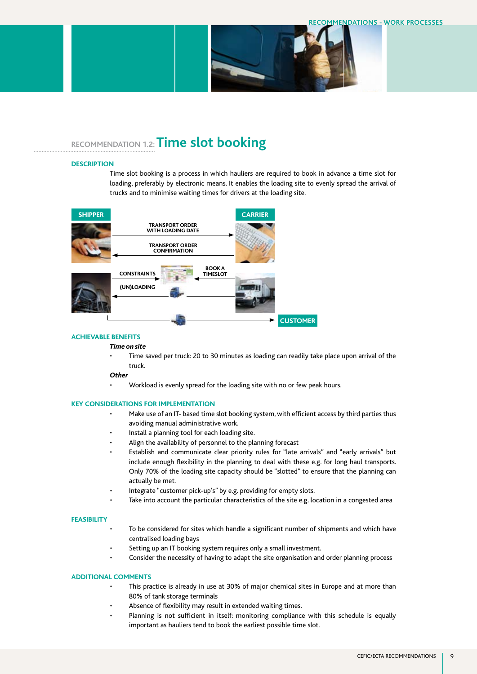**recommendations - work processes**



## **RECOMMENDATION 1.2: Time slot booking**

#### **Description**

Time slot booking is a process in which hauliers are required to book in advance a time slot for loading, preferably by electronic means. It enables the loading site to evenly spread the arrival of trucks and to minimise waiting times for drivers at the loading site.



#### **Achievable benefits**

- *Time on site*
- Time saved per truck: 20 to 30 minutes as loading can readily take place upon arrival of the truck.

*Other*

Workload is evenly spread for the loading site with no or few peak hours.

#### **Key considerations for implementation**

- Make use of an IT- based time slot booking system, with efficient access by third parties thus avoiding manual administrative work.
- • Install a planning tool for each loading site.
- Align the availability of personnel to the planning forecast
- Establish and communicate clear priority rules for "late arrivals" and "early arrivals" but include enough flexibility in the planning to deal with these e.g. for long haul transports. Only 70% of the loading site capacity should be "slotted" to ensure that the planning can actually be met.
- Integrate "customer pick-up's" by e.g. providing for empty slots.
- Take into account the particular characteristics of the site e.g. location in a congested area

#### **Feasibility**

- To be considered for sites which handle a significant number of shipments and which have centralised loading bays
- Setting up an IT booking system requires only a small investment.
- Consider the necessity of having to adapt the site organisation and order planning process

- This practice is already in use at 30% of major chemical sites in Europe and at more than 80% of tank storage terminals
- Absence of flexibility may result in extended waiting times.
- Planning is not sufficient in itself: monitoring compliance with this schedule is equally important as hauliers tend to book the earliest possible time slot.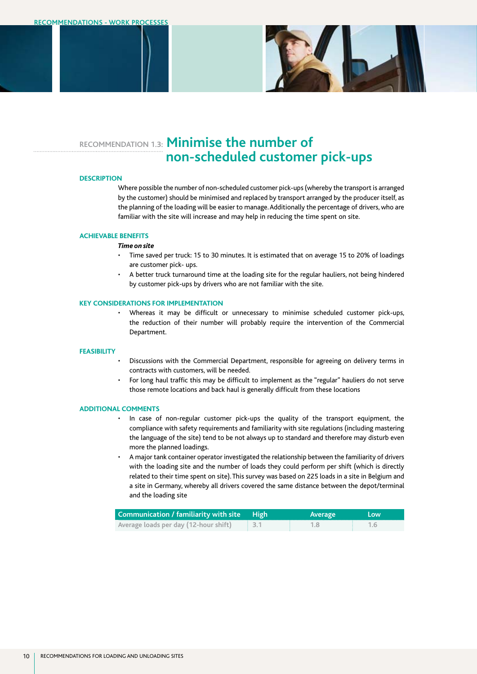

# RECOMMENDATION 1.3: **Minimise the number of** non-scheduled customer pick-ups

#### **Description**

Where possible the number of non-scheduled customer pick-ups (whereby the transport is arranged by the customer) should be minimised and replaced by transport arranged by the producer itself, as the planning of the loading will be easier to manage. Additionally the percentage of drivers, who are familiar with the site will increase and may help in reducing the time spent on site.

#### **Achievable benefits**

#### *Time on site*

- • Time saved per truck: 15 to 30 minutes. It is estimated that on average 15 to 20% of loadings are customer pick- ups.
- A better truck turnaround time at the loading site for the regular hauliers, not being hindered by customer pick-ups by drivers who are not familiar with the site.

#### **Key considerations for implementation**

• Whereas it may be difficult or unnecessary to minimise scheduled customer pick-ups, the reduction of their number will probably require the intervention of the Commercial Department.

#### **Feasibility**

- Discussions with the Commercial Department, responsible for agreeing on delivery terms in contracts with customers, will be needed.
- • For long haul traffic this may be difficult to implement as the "regular" hauliers do not serve those remote locations and back haul is generally difficult from these locations

- In case of non-regular customer pick-ups the quality of the transport equipment, the compliance with safety requirements and familiarity with site regulations (including mastering the language of the site) tend to be not always up to standard and therefore may disturb even more the planned loadings.
- A major tank container operator investigated the relationship between the familiarity of drivers with the loading site and the number of loads they could perform per shift (which is directly related to their time spent on site). This survey was based on 225 loads in a site in Belgium and a site in Germany, whereby all drivers covered the same distance between the depot/terminal and the loading site

| Communication / familiarity with site High |       | Average | l OW |
|--------------------------------------------|-------|---------|------|
| Average loads per day (12-hour shift)      | - 3.1 |         |      |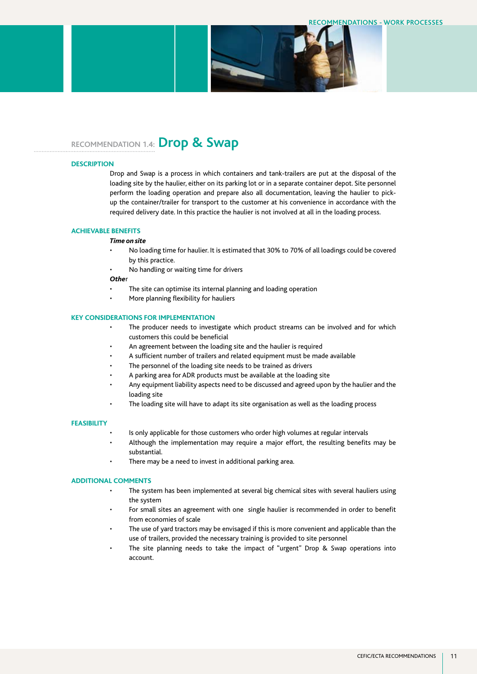

### **RECOMMENDATION 1.4: Drop & Swap**

#### **Description**

Drop and Swap is a process in which containers and tank-trailers are put at the disposal of the loading site by the haulier, either on its parking lot or in a separate container depot. Site personnel perform the loading operation and prepare also all documentation, leaving the haulier to pickup the container/trailer for transport to the customer at his convenience in accordance with the required delivery date. In this practice the haulier is not involved at all in the loading process.

#### **Achievable benefits**

#### *Time on site*

- No loading time for haulier. It is estimated that 30% to 70% of all loadings could be covered by this practice.
- No handling or waiting time for drivers

#### *Othe*r

- The site can optimise its internal planning and loading operation
- More planning flexibility for hauliers

#### **Key considerations for implementation**

- The producer needs to investigate which product streams can be involved and for which customers this could be beneficial
- An agreement between the loading site and the haulier is required
- A sufficient number of trailers and related equipment must be made available
- The personnel of the loading site needs to be trained as drivers
- • A parking area for ADR products must be available at the loading site
- Any equipment liability aspects need to be discussed and agreed upon by the haulier and the loading site
- The loading site will have to adapt its site organisation as well as the loading process

#### **Feasibility**

- Is only applicable for those customers who order high volumes at regular intervals
	- Although the implementation may require a major effort, the resulting benefits may be substantial.
- There may be a need to invest in additional parking area.

- The system has been implemented at several big chemical sites with several hauliers using the system
- For small sites an agreement with one single haulier is recommended in order to benefit from economies of scale
- The use of yard tractors may be envisaged if this is more convenient and applicable than the use of trailers, provided the necessary training is provided to site personnel
- The site planning needs to take the impact of "urgent" Drop & Swap operations into account.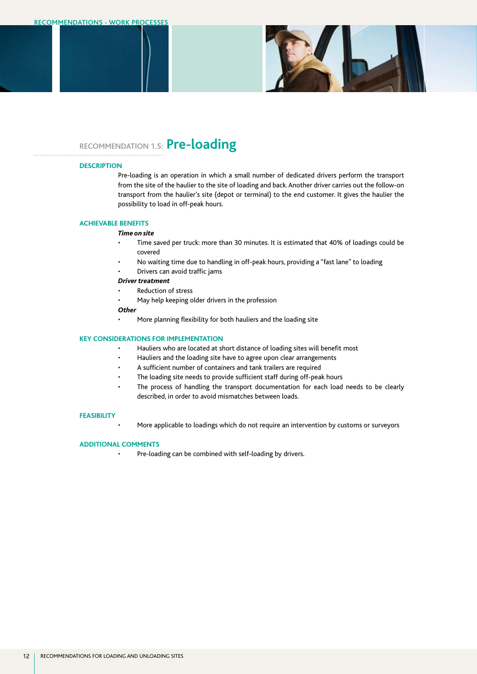

# **RECOMMENDATION 1.5: Pre-loading**

#### **Description**

Pre-loading is an operation in which a small number of dedicated drivers perform the transport from the site of the haulier to the site of loading and back. Another driver carries out the follow-on transport from the haulier's site (depot or terminal) to the end customer. It gives the haulier the possibility to load in off-peak hours.

#### **Achievable benefits**

#### *Time on site*

- Time saved per truck: more than 30 minutes. It is estimated that 40% of loadings could be covered
- No waiting time due to handling in off-peak hours, providing a "fast lane" to loading
- Drivers can avoid traffic jams

#### *Driver treatment*

- Reduction of stress
- May help keeping older drivers in the profession

#### *Other*

More planning flexibility for both hauliers and the loading site

#### **Key considerations for implementation**

- Hauliers who are located at short distance of loading sites will benefit most
- Hauliers and the loading site have to agree upon clear arrangements
- • A sufficient number of containers and tank trailers are required
- The loading site needs to provide sufficient staff during off-peak hours
- The process of handling the transport documentation for each load needs to be clearly described, in order to avoid mismatches between loads.

#### **Feasibility**

More applicable to loadings which do not require an intervention by customs or surveyors

#### **Additional comments**

Pre-loading can be combined with self-loading by drivers.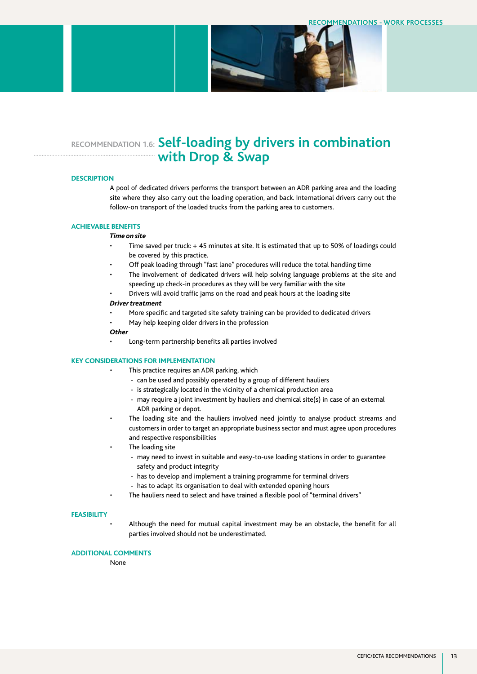

# **RECOMMENDATION 1.6: Self-loading by drivers in combination with Drop & Swap**

#### **Description**

A pool of dedicated drivers performs the transport between an ADR parking area and the loading site where they also carry out the loading operation, and back. International drivers carry out the follow-on transport of the loaded trucks from the parking area to customers.

#### **Achievable benefits**

#### *Time on site*

- Time saved per truck: + 45 minutes at site. It is estimated that up to 50% of loadings could be covered by this practice.
- Off peak loading through "fast lane" procedures will reduce the total handling time
- The involvement of dedicated drivers will help solving language problems at the site and speeding up check-in procedures as they will be very familiar with the site
- Drivers will avoid traffic jams on the road and peak hours at the loading site

#### *Driver treatment*

- More specific and targeted site safety training can be provided to dedicated drivers
- May help keeping older drivers in the profession

#### *Other*

Long-term partnership benefits all parties involved

#### **Key considerations for implementation**

- This practice requires an ADR parking, which
	- can be used and possibly operated by a group of different hauliers
	- is strategically located in the vicinity of a chemical production area
	- may require a joint investment by hauliers and chemical site(s) in case of an external ADR parking or depot.
- The loading site and the hauliers involved need jointly to analyse product streams and customers in order to target an appropriate business sector and must agree upon procedures and respective responsibilities
- The loading site
	- may need to invest in suitable and easy-to-use loading stations in order to guarantee safety and product integrity
	- has to develop and implement a training programme for terminal drivers
	- has to adapt its organisation to deal with extended opening hours
- The hauliers need to select and have trained a flexible pool of "terminal drivers"

#### **Feasibility**

Although the need for mutual capital investment may be an obstacle, the benefit for all parties involved should not be underestimated.

#### **Additional comments**

None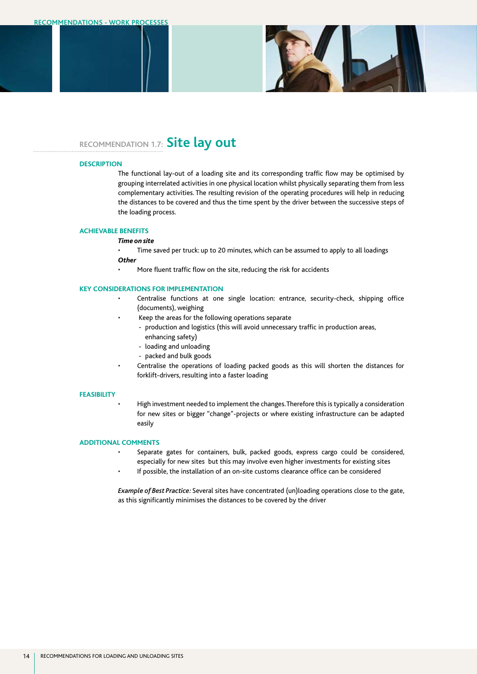

## **RECOMMENDATION 1.7: Site lay out**

#### **Description**

The functional lay-out of a loading site and its corresponding traffic flow may be optimised by grouping interrelated activities in one physical location whilst physically separating them from less complementary activities. The resulting revision of the operating procedures will help in reducing the distances to be covered and thus the time spent by the driver between the successive steps of the loading process.

#### **Achievable benefits**

#### *Time on site*

Time saved per truck: up to 20 minutes, which can be assumed to apply to all loadings *Other*

More fluent traffic flow on the site, reducing the risk for accidents

#### **Key considerations for implementation**

- Centralise functions at one single location: entrance, security-check, shipping office (documents), weighing
- Keep the areas for the following operations separate
	- production and logistics (this will avoid unnecessary traffic in production areas,
		- enhancing safety)
	- loading and unloading
	- packed and bulk goods
- • Centralise the operations of loading packed goods as this will shorten the distances for forklift-drivers, resulting into a faster loading

#### **Feasibility**

High investment needed to implement the changes. Therefore this is typically a consideration for new sites or bigger "change"-projects or where existing infrastructure can be adapted easily

#### **Additional comments**

- Separate gates for containers, bulk, packed goods, express cargo could be considered, especially for new sites but this may involve even higher investments for existing sites
- If possible, the installation of an on-site customs clearance office can be considered

*Example of Best Practice:* Several sites have concentrated (un)loading operations close to the gate, as this significantly minimises the distances to be covered by the driver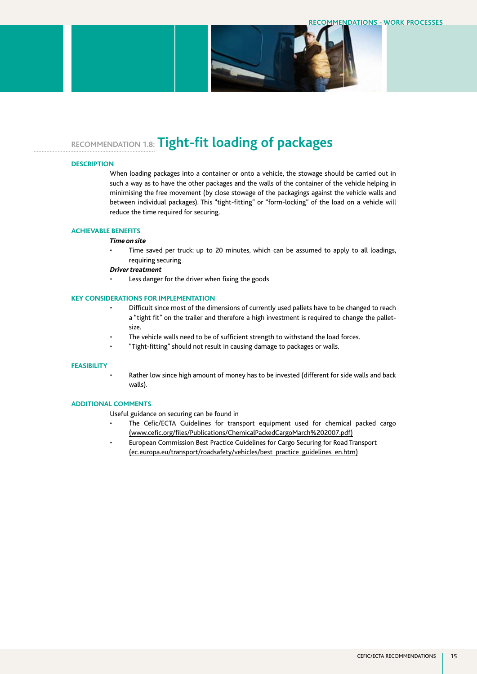

## **RECOMMENDATION 1.8: Tight-fit loading of packages**

#### **Description**

When loading packages into a container or onto a vehicle, the stowage should be carried out in such a way as to have the other packages and the walls of the container of the vehicle helping in minimising the free movement (by close stowage of the packagings against the vehicle walls and between individual packages). This "tight-fitting" or "form-locking" of the load on a vehicle will reduce the time required for securing.

#### **Achievable benefits**

#### *Time on site*

Time saved per truck: up to 20 minutes, which can be assumed to apply to all loadings, requiring securing

#### *Driver treatment*

• Less danger for the driver when fixing the goods

#### **Key considerations for implementation**

- Difficult since most of the dimensions of currently used pallets have to be changed to reach a "tight fit" on the trailer and therefore a high investment is required to change the palletsize.
- The vehicle walls need to be of sufficient strength to withstand the load forces.
- "Tight-fitting" should not result in causing damage to packages or walls.

#### **Feasibility**

Rather low since high amount of money has to be invested (different for side walls and back walls).

#### **Additional comments**

Useful guidance on securing can be found in

- • The Cefic/ECTA Guidelines for transport equipment used for chemical packed cargo (www.cefic.org/files/Publications/ChemicalPackedCargoMarch%202007.pdf)
- European Commission Best Practice Guidelines for Cargo Securing for Road Transport (ec.europa.eu/transport/roadsafety/vehicles/best\_practice\_guidelines\_en.htm)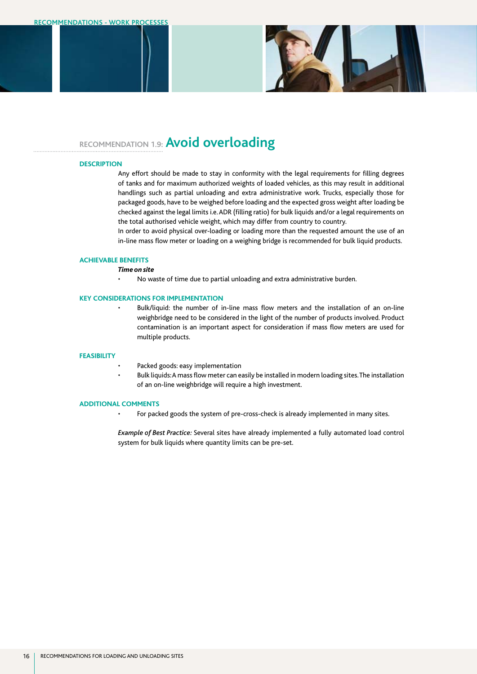

### **RECOMMENDATION 1.9: Avoid overloading**

#### **Description**

Any effort should be made to stay in conformity with the legal requirements for filling degrees of tanks and for maximum authorized weights of loaded vehicles, as this may result in additional handlings such as partial unloading and extra administrative work. Trucks, especially those for packaged goods, have to be weighed before loading and the expected gross weight after loading be checked against the legal limits i.e. ADR (filling ratio) for bulk liquids and/or a legal requirements on the total authorised vehicle weight, which may differ from country to country.

In order to avoid physical over-loading or loading more than the requested amount the use of an in-line mass flow meter or loading on a weighing bridge is recommended for bulk liquid products.

#### **Achievable benefits**

#### *Time on site*

No waste of time due to partial unloading and extra administrative burden.

#### **Key considerations for implementation**

Bulk/liquid: the number of in-line mass flow meters and the installation of an on-line weighbridge need to be considered in the light of the number of products involved. Product contamination is an important aspect for consideration if mass flow meters are used for multiple products.

#### **Feasibility**

- Packed goods: easy implementation
- Bulk liquids: A mass flow meter can easily be installed in modern loading sites. The installation of an on-line weighbridge will require a high investment.

#### **Additional comments**

For packed goods the system of pre-cross-check is already implemented in many sites.

*Example of Best Practice:* Several sites have already implemented a fully automated load control system for bulk liquids where quantity limits can be pre-set.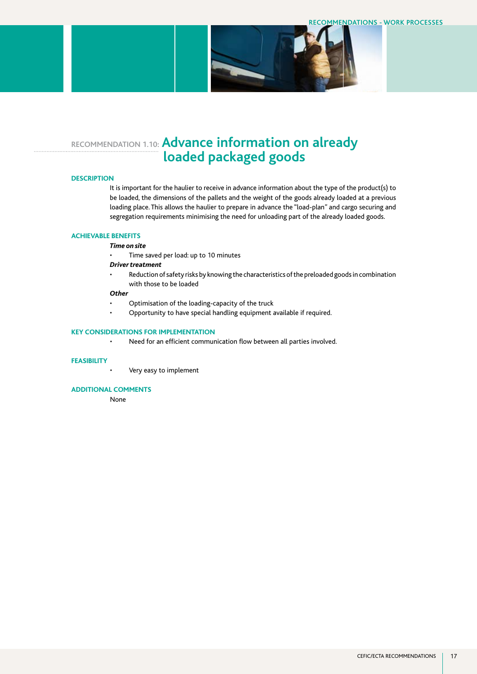**recommendations - work processes**



# **RECOMMENDATION 1.10: Advance information on already loaded packaged goods**

#### **Description**

It is important for the haulier to receive in advance information about the type of the product(s) to be loaded, the dimensions of the pallets and the weight of the goods already loaded at a previous loading place. This allows the haulier to prepare in advance the "load-plan" and cargo securing and segregation requirements minimising the need for unloading part of the already loaded goods.

#### **Achievable benefits**

#### *Time on site*

Time saved per load: up to 10 minutes

#### *Driver treatment*

Reduction of safety risks by knowing the characteristics of the preloaded goods in combination with those to be loaded

#### *Other*

- • Optimisation of the loading-capacity of the truck
- Opportunity to have special handling equipment available if required.

#### **Key considerations for implementation**

• Need for an efficient communication flow between all parties involved.

#### **Feasibility**

Very easy to implement

#### **Additional comments**

None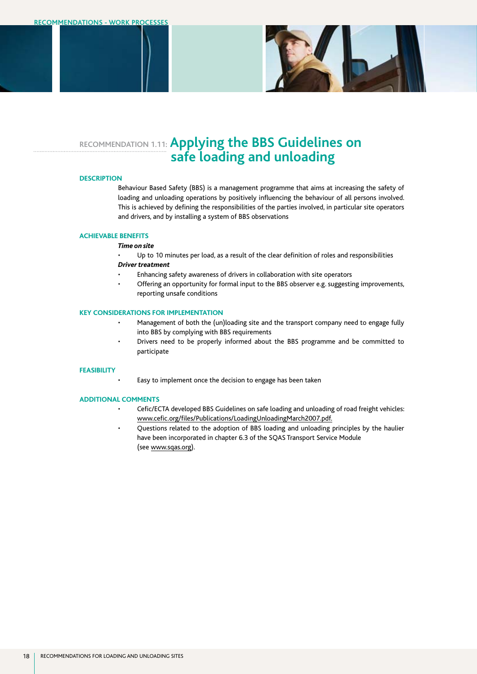

# **RECOMMENDATION 1.11: Applying the BBS Guidelines on safe loading and unloading**

#### **Description**

Behaviour Based Safety (BBS) is a management programme that aims at increasing the safety of loading and unloading operations by positively influencing the behaviour of all persons involved. This is achieved by defining the responsibilities of the parties involved, in particular site operators and drivers, and by installing a system of BBS observations

#### **Achievable benefits**

#### *Time on site*

- Up to 10 minutes per load, as a result of the clear definition of roles and responsibilities *Driver treatment*
- Enhancing safety awareness of drivers in collaboration with site operators
- Offering an opportunity for formal input to the BBS observer e.g. suggesting improvements, reporting unsafe conditions

#### **Key considerations for implementation**

- Management of both the (un)loading site and the transport company need to engage fully into BBS by complying with BBS requirements
- • Drivers need to be properly informed about the BBS programme and be committed to participate

#### **Feasibility**

Easy to implement once the decision to engage has been taken

- Cefic/ECTA developed BBS Guidelines on safe loading and unloading of road freight vehicles: www.cefic.org/files/Publications/LoadingUnloadingMarch2007.pdf.
- Questions related to the adoption of BBS loading and unloading principles by the haulier have been incorporated in chapter 6.3 of the SQAS Transport Service Module (see www.sqas.org).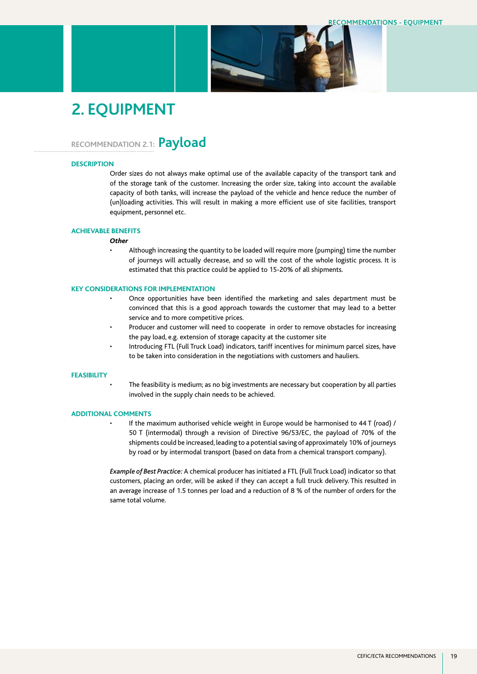

# **2. equipment**

### **RECOMMENDATION 2.1: Payload**

#### **Description**

Order sizes do not always make optimal use of the available capacity of the transport tank and of the storage tank of the customer. Increasing the order size, taking into account the available capacity of both tanks, will increase the payload of the vehicle and hence reduce the number of (un)loading activities. This will result in making a more efficient use of site facilities, transport equipment, personnel etc.

#### **Achievable benefits**

#### *Other*

Although increasing the quantity to be loaded will require more (pumping) time the number of journeys will actually decrease, and so will the cost of the whole logistic process. It is estimated that this practice could be applied to 15-20% of all shipments.

#### **Key considerations for implementation**

- Once opportunities have been identified the marketing and sales department must be convinced that this is a good approach towards the customer that may lead to a better service and to more competitive prices.
- Producer and customer will need to cooperate in order to remove obstacles for increasing the pay load, e.g. extension of storage capacity at the customer site
- Introducing FTL (Full Truck Load) indicators, tariff incentives for minimum parcel sizes, have to be taken into consideration in the negotiations with customers and hauliers.

#### **Feasibility**

The feasibility is medium; as no big investments are necessary but cooperation by all parties involved in the supply chain needs to be achieved.

#### **Additional comments**

If the maximum authorised vehicle weight in Europe would be harmonised to  $44$  T (road) / 50 T (intermodal) through a revision of Directive 96/53/EC, the payload of 70% of the shipments could be increased, leading to a potential saving of approximately 10% of journeys by road or by intermodal transport (based on data from a chemical transport company).

*Example of Best Practice:* A chemical producer has initiated a FTL (Full Truck Load) indicator so that customers, placing an order, will be asked if they can accept a full truck delivery. This resulted in an average increase of 1.5 tonnes per load and a reduction of 8 % of the number of orders for the same total volume.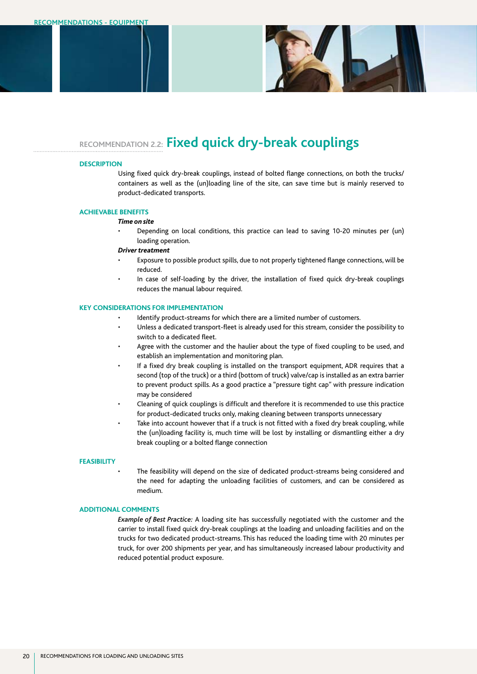

## **RECOMMENDATION 2.2: Fixed quick dry-break couplings**

#### **Description**

Using fixed quick dry-break couplings, instead of bolted flange connections, on both the trucks/ containers as well as the (un)loading line of the site, can save time but is mainly reserved to product-dedicated transports.

#### **Achievable benefits**

#### *Time on site*

Depending on local conditions, this practice can lead to saving 10-20 minutes per (un) loading operation.

#### *Driver treatment*

- Exposure to possible product spills, due to not properly tightened flange connections, will be reduced.
- In case of self-loading by the driver, the installation of fixed quick dry-break couplings reduces the manual labour required.

#### **Key considerations for implementation**

- Identify product-streams for which there are a limited number of customers.
- Unless a dedicated transport-fleet is already used for this stream, consider the possibility to switch to a dedicated fleet.
- Agree with the customer and the haulier about the type of fixed coupling to be used, and establish an implementation and monitoring plan.
- If a fixed dry break coupling is installed on the transport equipment, ADR requires that a second (top of the truck) or a third (bottom of truck) valve/cap is installed as an extra barrier to prevent product spills. As a good practice a "pressure tight cap" with pressure indication may be considered
- Cleaning of quick couplings is difficult and therefore it is recommended to use this practice for product-dedicated trucks only, making cleaning between transports unnecessary
- Take into account however that if a truck is not fitted with a fixed dry break coupling, while the (un)loading facility is, much time will be lost by installing or dismantling either a dry break coupling or a bolted flange connection

#### **Feasibility**

The feasibility will depend on the size of dedicated product-streams being considered and the need for adapting the unloading facilities of customers, and can be considered as medium.

#### **Additional comments**

*Example of Best Practice:* A loading site has successfully negotiated with the customer and the carrier to install fixed quick dry-break couplings at the loading and unloading facilities and on the trucks for two dedicated product-streams. This has reduced the loading time with 20 minutes per truck, for over 200 shipments per year, and has simultaneously increased labour productivity and reduced potential product exposure.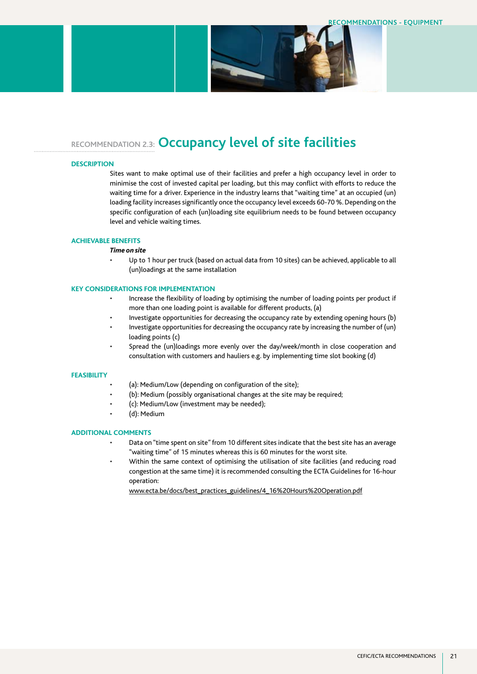

## **RECOMMENDATION 2.3: Occupancy level of site facilities**

#### **Description**

Sites want to make optimal use of their facilities and prefer a high occupancy level in order to minimise the cost of invested capital per loading, but this may conflict with efforts to reduce the waiting time for a driver. Experience in the industry learns that "waiting time" at an occupied (un) loading facility increases significantly once the occupancy level exceeds 60-70 %. Depending on the specific configuration of each (un)loading site equilibrium needs to be found between occupancy level and vehicle waiting times.

#### **Achievable benefits**

#### *Time on site*

Up to 1 hour per truck (based on actual data from 10 sites) can be achieved, applicable to all (un)loadings at the same installation

#### **Key considerations for implementation**

- Increase the flexibility of loading by optimising the number of loading points per product if more than one loading point is available for different products, (a)
- Investigate opportunities for decreasing the occupancy rate by extending opening hours (b)
- Investigate opportunities for decreasing the occupancy rate by increasing the number of (un) loading points (c)
- Spread the (un)loadings more evenly over the day/week/month in close cooperation and consultation with customers and hauliers e.g. by implementing time slot booking (d)

#### **Feasibility**

- (a): Medium/Low (depending on configuration of the site);
- (b): Medium (possibly organisational changes at the site may be required;
- (c): Medium/Low (investment may be needed);
- (d): Medium

#### **Additional comments**

- Data on "time spent on site" from 10 different sites indicate that the best site has an average "waiting time" of 15 minutes whereas this is 60 minutes for the worst site.
- Within the same context of optimising the utilisation of site facilities (and reducing road congestion at the same time) it is recommended consulting the ECTA Guidelines for 16-hour operation:

www.ecta.be/docs/best\_practices\_guidelines/4\_16%20Hours%20Operation.pdf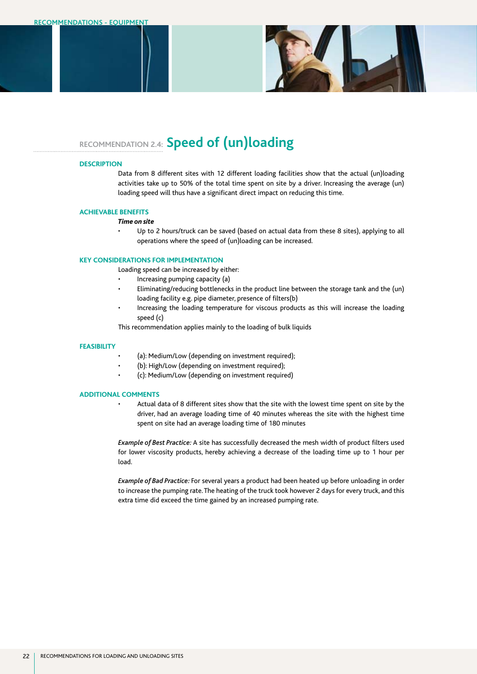

## **RECOMMENDATION 2.4: Speed of (un)loading**

#### **Description**

Data from 8 different sites with 12 different loading facilities show that the actual (un)loading activities take up to 50% of the total time spent on site by a driver. Increasing the average (un) loading speed will thus have a significant direct impact on reducing this time.

#### **Achievable benefits**

- *Time on site*
- Up to 2 hours/truck can be saved (based on actual data from these 8 sites), applying to all operations where the speed of (un)loading can be increased.

#### **Key considerations for implementation**

Loading speed can be increased by either:

- Increasing pumping capacity (a)
- Eliminating/reducing bottlenecks in the product line between the storage tank and the (un) loading facility e.g. pipe diameter, presence of filters(b)
- Increasing the loading temperature for viscous products as this will increase the loading speed (c)

This recommendation applies mainly to the loading of bulk liquids

#### **Feasibility**

- (a): Medium/Low (depending on investment required);
- (b): High/Low (depending on investment required);
- (c): Medium/Low (depending on investment required)

#### **Additional comments**

Actual data of 8 different sites show that the site with the lowest time spent on site by the driver, had an average loading time of 40 minutes whereas the site with the highest time spent on site had an average loading time of 180 minutes

*Example of Best Practice:* A site has successfully decreased the mesh width of product filters used for lower viscosity products, hereby achieving a decrease of the loading time up to 1 hour per load.

*Example of Bad Practice:* For several years a product had been heated up before unloading in order to increase the pumping rate. The heating of the truck took however 2 days for every truck, and this extra time did exceed the time gained by an increased pumping rate.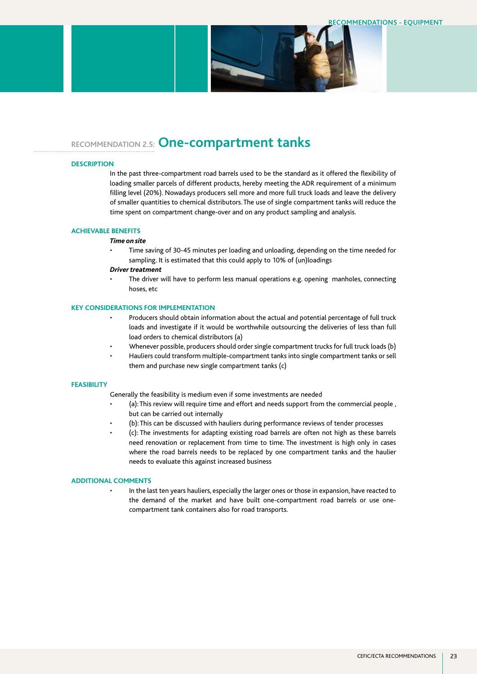

### **RECOMMENDATION 2.5: One-compartment tanks**

#### **Description**

In the past three-compartment road barrels used to be the standard as it offered the flexibility of loading smaller parcels of different products, hereby meeting the ADR requirement of a minimum filling level (20%). Nowadays producers sell more and more full truck loads and leave the delivery of smaller quantities to chemical distributors. The use of single compartment tanks will reduce the time spent on compartment change-over and on any product sampling and analysis.

#### **Achievable benefits**

#### *Time on site*

Time saving of 30-45 minutes per loading and unloading, depending on the time needed for sampling. It is estimated that this could apply to 10% of (un)loadings

#### *Driver treatment*

The driver will have to perform less manual operations e.g. opening manholes, connecting hoses, etc

#### **Key considerations for implementation**

- Producers should obtain information about the actual and potential percentage of full truck loads and investigate if it would be worthwhile outsourcing the deliveries of less than full load orders to chemical distributors (a)
- Whenever possible, producers should order single compartment trucks for full truck loads (b)
- Hauliers could transform multiple-compartment tanks into single compartment tanks or sell them and purchase new single compartment tanks (c)

#### **Feasibility**

- Generally the feasibility is medium even if some investments are needed
- (a): This review will require time and effort and needs support from the commercial people, but can be carried out internally
- (b): This can be discussed with hauliers during performance reviews of tender processes
- (c): The investments for adapting existing road barrels are often not high as these barrels need renovation or replacement from time to time. The investment is high only in cases where the road barrels needs to be replaced by one compartment tanks and the haulier needs to evaluate this against increased business

#### **Additional comments**

In the last ten years hauliers, especially the larger ones or those in expansion, have reacted to the demand of the market and have built one-compartment road barrels or use onecompartment tank containers also for road transports.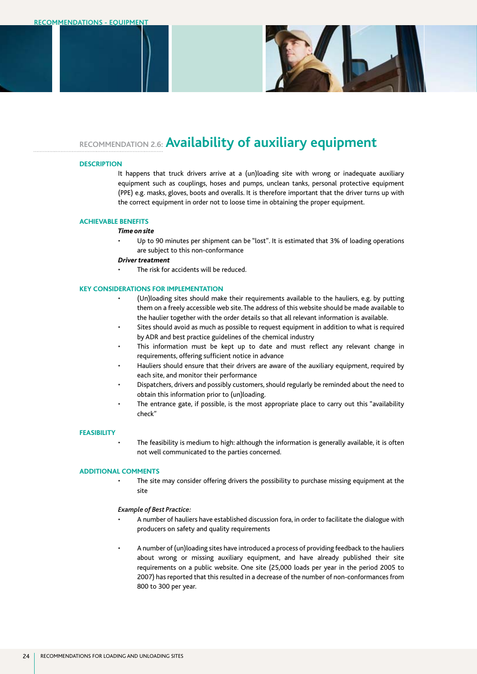

## **RECOMMENDATION 2.6: Availability of auxiliary equipment**

#### **Description**

It happens that truck drivers arrive at a (un)loading site with wrong or inadequate auxiliary equipment such as couplings, hoses and pumps, unclean tanks, personal protective equipment (PPE) e.g. masks, gloves, boots and overalls. It is therefore important that the driver turns up with the correct equipment in order not to loose time in obtaining the proper equipment.

#### **Achievable benefits**

#### *Time on site*

Up to 90 minutes per shipment can be "lost". It is estimated that 3% of loading operations are subject to this non-conformance

#### *Driver treatment*

The risk for accidents will be reduced.

#### **Key considerations for implementation**

- (Un)loading sites should make their requirements available to the hauliers, e.g. by putting them on a freely accessible web site. The address of this website should be made available to the haulier together with the order details so that all relevant information is available.
- Sites should avoid as much as possible to request equipment in addition to what is required by ADR and best practice guidelines of the chemical industry
- This information must be kept up to date and must reflect any relevant change in requirements, offering sufficient notice in advance
- Hauliers should ensure that their drivers are aware of the auxiliary equipment, required by each site, and monitor their performance
- Dispatchers, drivers and possibly customers, should regularly be reminded about the need to obtain this information prior to (un)loading.
- The entrance gate, if possible, is the most appropriate place to carry out this "availability check"

#### **Feasibility**

The feasibility is medium to high: although the information is generally available, it is often not well communicated to the parties concerned.

#### **Additional comments**

The site may consider offering drivers the possibility to purchase missing equipment at the site

#### *Example of Best Practice:*

- A number of hauliers have established discussion fora, in order to facilitate the dialogue with producers on safety and quality requirements
- A number of (un)loading sites have introduced a process of providing feedback to the hauliers about wrong or missing auxiliary equipment, and have already published their site requirements on a public website. One site (25,000 loads per year in the period 2005 to 2007) has reported that this resulted in a decrease of the number of non-conformances from 800 to 300 per year.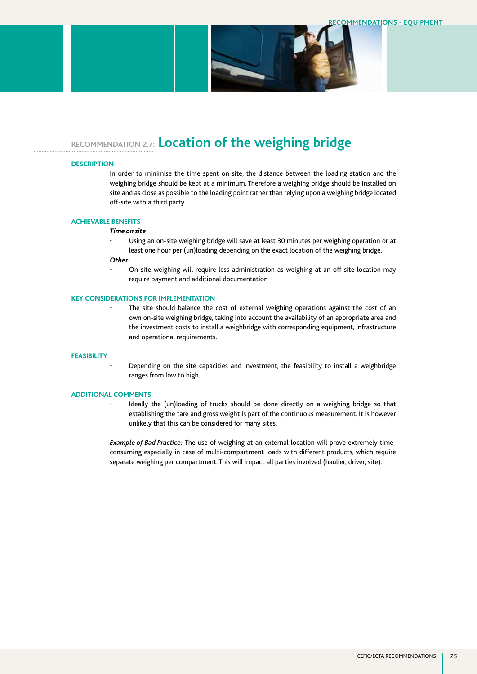

## **RECOMMENDATION 2.7: Location of the weighing bridge**

#### **Description**

In order to minimise the time spent on site, the distance between the loading station and the weighing bridge should be kept at a minimum. Therefore a weighing bridge should be installed on site and as close as possible to the loading point rather than relying upon a weighing bridge located off-site with a third party.

#### **Achievable benefits**

#### *Time on site*

Using an on-site weighing bridge will save at least 30 minutes per weighing operation or at least one hour per (un)loading depending on the exact location of the weighing bridge.

#### *Other*

On-site weighing will require less administration as weighing at an off-site location may require payment and additional documentation

#### **Key considerations for implementation**

The site should balance the cost of external weighing operations against the cost of an own on-site weighing bridge, taking into account the availability of an appropriate area and the investment costs to install a weighbridge with corresponding equipment, infrastructure and operational requirements.

#### **Feasibility**

Depending on the site capacities and investment, the feasibility to install a weighbridge ranges from low to high.

#### **Additional comments**

Ideally the (un)loading of trucks should be done directly on a weighing bridge so that establishing the tare and gross weight is part of the continuous measurement. It is however unlikely that this can be considered for many sites.

*Example of Bad Practice:* The use of weighing at an external location will prove extremely timeconsuming especially in case of multi-compartment loads with different products, which require separate weighing per compartment. This will impact all parties involved (haulier, driver, site).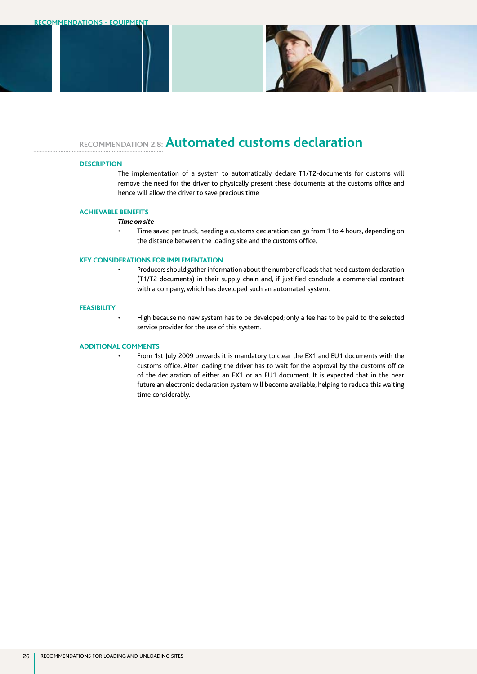

## **RECOMMENDATION 2.8: Automated customs declaration**

#### **Description**

The implementation of a system to automatically declare T1/T2-documents for customs will remove the need for the driver to physically present these documents at the customs office and hence will allow the driver to save precious time

#### **Achievable benefits**

#### *Time on site*

Time saved per truck, needing a customs declaration can go from 1 to 4 hours, depending on the distance between the loading site and the customs office.

#### **Key considerations for implementation**

Producers should gather information about the number of loads that need custom declaration (T1/T2 documents) in their supply chain and, if justified conclude a commercial contract with a company, which has developed such an automated system.

#### **Feasibility**

High because no new system has to be developed; only a fee has to be paid to the selected service provider for the use of this system.

#### **Additional comments**

From 1st July 2009 onwards it is mandatory to clear the EX1 and EU1 documents with the customs office. Alter loading the driver has to wait for the approval by the customs office of the declaration of either an EX1 or an EU1 document. It is expected that in the near future an electronic declaration system will become available, helping to reduce this waiting time considerably.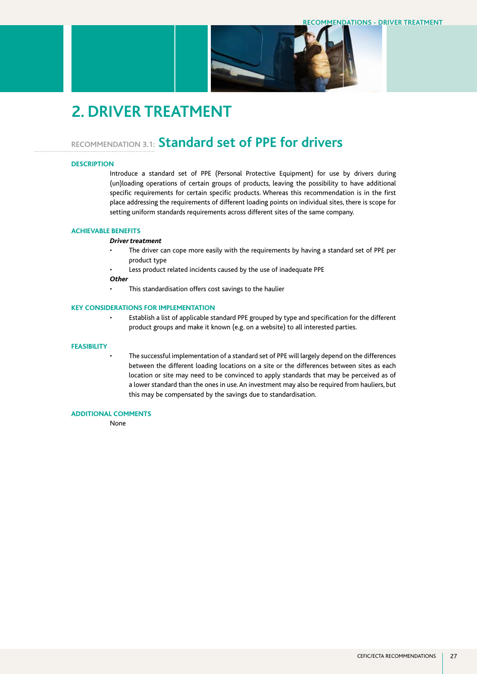

## **2. driver treatment**

## **RECOMMENDATION 3.1: Standard set of PPE for drivers**

#### **Description**

Introduce a standard set of PPE (Personal Protective Equipment) for use by drivers during (un)loading operations of certain groups of products, leaving the possibility to have additional specific requirements for certain specific products. Whereas this recommendation is in the first place addressing the requirements of different loading points on individual sites, there is scope for setting uniform standards requirements across different sites of the same company.

#### **Achievable benefits**

#### *Driver treatment*

- The driver can cope more easily with the requirements by having a standard set of PPE per product type
- • Less product related incidents caused by the use of inadequate PPE

#### *Other*

This standardisation offers cost savings to the haulier

#### **Key considerations for implementation**

Establish a list of applicable standard PPE grouped by type and specification for the different product groups and make it known (e.g. on a website) to all interested parties.

#### **Feasibility**

The successful implementation of a standard set of PPE will largely depend on the differences between the different loading locations on a site or the differences between sites as each location or site may need to be convinced to apply standards that may be perceived as of a lower standard than the ones in use. An investment may also be required from hauliers, but this may be compensated by the savings due to standardisation.

#### **Additional comments**

None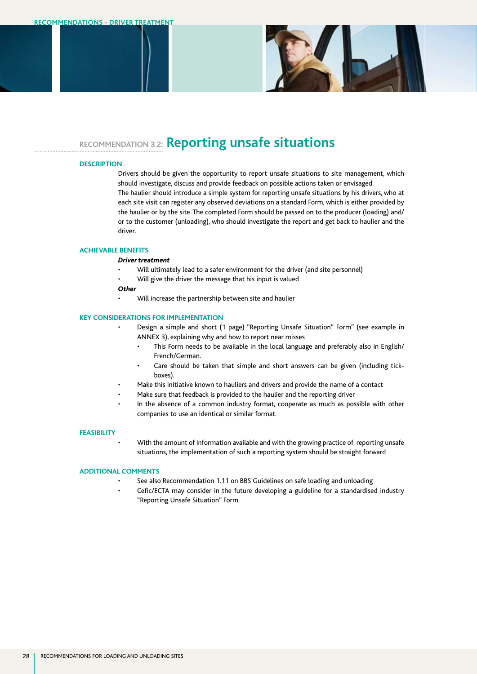

### **RECOMMENDATION 3.2: Reporting unsafe situations**

#### **Description**

Drivers should be given the opportunity to report unsafe situations to site management, which should investigate, discuss and provide feedback on possible actions taken or envisaged. The haulier should introduce a simple system for reporting unsafe situations by his drivers, who at each site visit can register any observed deviations on a standard Form, which is either provided by the haulier or by the site. The completed Form should be passed on to the producer (loading) and/ or to the customer (unloading), who should investigate the report and get back to haulier and the driver.

#### **Achievable benefits**

#### *Driver treatment*

- Will ultimately lead to a safer environment for the driver (and site personnel)
- Will give the driver the message that his input is valued

#### *Other*

Will increase the partnership between site and haulier

#### **Key considerations for implementation**

- Design a simple and short (1 page) "Reporting Unsafe Situation" Form" (see example in ANNEX 3), explaining why and how to report near misses
	- This Form needs to be available in the local language and preferably also in English/ French/German.
	- Care should be taken that simple and short answers can be given (including tickboxes).
- Make this initiative known to hauliers and drivers and provide the name of a contact
- Make sure that feedback is provided to the haulier and the reporting driver
- In the absence of a common industry format, cooperate as much as possible with other companies to use an identical or similar format.

#### **Feasibility**

With the amount of information available and with the growing practice of reporting unsafe situations, the implementation of such a reporting system should be straight forward

- See also Recommendation 1.11 on BBS Guidelines on safe loading and unloading
- Cefic/ECTA may consider in the future developing a guideline for a standardised industry "Reporting Unsafe Situation" Form.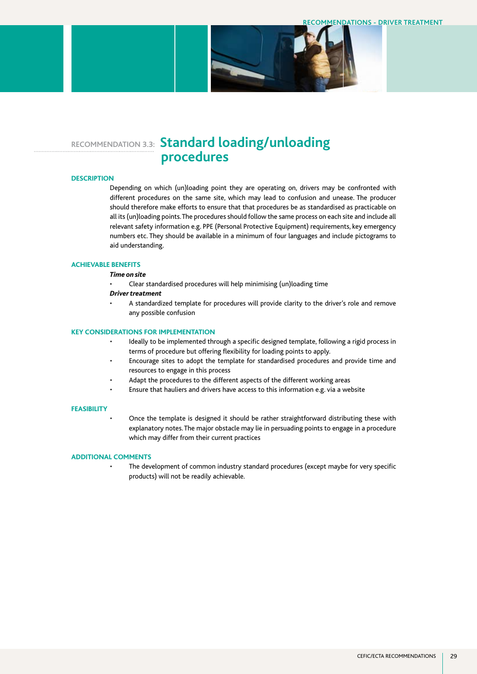

# **RECOMMENDATION 3.3: Standard loading/unloading procedures**

#### **Description**

Depending on which (un)loading point they are operating on, drivers may be confronted with different procedures on the same site, which may lead to confusion and unease. The producer should therefore make efforts to ensure that that procedures be as standardised as practicable on all its (un)loading points. The procedures should follow the same process on each site and include all relevant safety information e.g. PPE (Personal Protective Equipment) requirements, key emergency numbers etc. They should be available in a minimum of four languages and include pictograms to aid understanding.

#### **Achievable benefits**

#### *Time on site*

Clear standardised procedures will help minimising (un)loading time

#### *Driver treatment*

A standardized template for procedures will provide clarity to the driver's role and remove any possible confusion

#### **Key considerations for implementation**

- Ideally to be implemented through a specific designed template, following a rigid process in terms of procedure but offering flexibility for loading points to apply.
- • Encourage sites to adopt the template for standardised procedures and provide time and resources to engage in this process
- Adapt the procedures to the different aspects of the different working areas
- Ensure that hauliers and drivers have access to this information e.g. via a website

#### **Feasibility**

Once the template is designed it should be rather straightforward distributing these with explanatory notes. The major obstacle may lie in persuading points to engage in a procedure which may differ from their current practices

#### **Additional comments**

The development of common industry standard procedures (except maybe for very specific products) will not be readily achievable.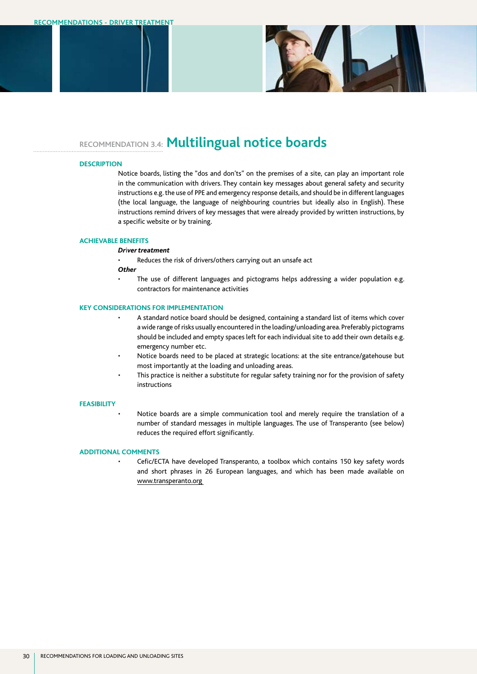

### **RECOMMENDATION 3.4: Multilingual notice boards**

#### **Description**

Notice boards, listing the "dos and don'ts" on the premises of a site, can play an important role in the communication with drivers. They contain key messages about general safety and security instructions e.g. the use of PPE and emergency response details, and should be in different languages (the local language, the language of neighbouring countries but ideally also in English). These instructions remind drivers of key messages that were already provided by written instructions, by a specific website or by training.

#### **Achievable benefits**

#### *Dr*i*ver treatment*

- Reduces the risk of drivers/others carrying out an unsafe act
- *Other*
	- The use of different languages and pictograms helps addressing a wider population e.g. contractors for maintenance activities

#### **Key considerations for implementation**

- A standard notice board should be designed, containing a standard list of items which cover a wide range of risks usually encountered in the loading/unloading area. Preferably pictograms should be included and empty spaces left for each individual site to add their own details e.g. emergency number etc.
- Notice boards need to be placed at strategic locations: at the site entrance/gatehouse but most importantly at the loading and unloading areas.
- This practice is neither a substitute for regular safety training nor for the provision of safety instructions

#### **Feasibility**

Notice boards are a simple communication tool and merely require the translation of a number of standard messages in multiple languages. The use of Transperanto (see below) reduces the required effort significantly.

#### **Additional comments**

Cefic/ECTA have developed Transperanto, a toolbox which contains 150 key safety words and short phrases in 26 European languages, and which has been made available on www.transperanto.org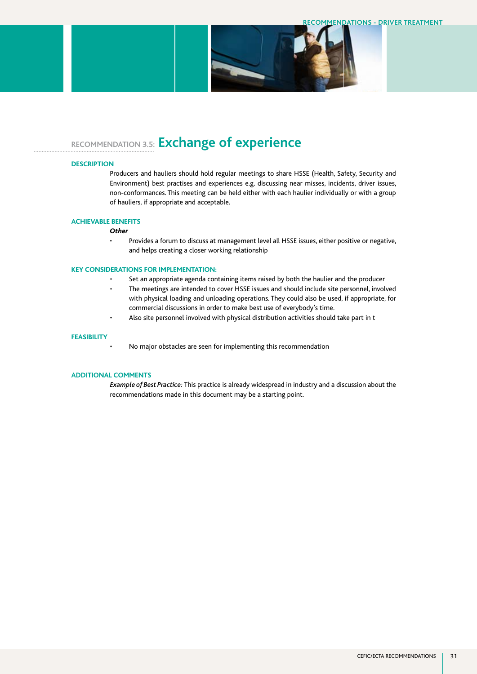

## **RECOMMENDATION 3.5: Exchange of experience**

#### **Description**

Producers and hauliers should hold regular meetings to share HSSE (Health, Safety, Security and Environment) best practises and experiences e.g. discussing near misses, incidents, driver issues, non-conformances. This meeting can be held either with each haulier individually or with a group of hauliers, if appropriate and acceptable.

#### **Achievable benefits**

#### *Other*

Provides a forum to discuss at management level all HSSE issues, either positive or negative, and helps creating a closer working relationship

#### **Key considerations for implementation:**

- Set an appropriate agenda containing items raised by both the haulier and the producer
- • The meetings are intended to cover HSSE issues and should include site personnel, involved with physical loading and unloading operations. They could also be used, if appropriate, for commercial discussions in order to make best use of everybody's time.
- Also site personnel involved with physical distribution activities should take part in t

#### **Feasibility**

No major obstacles are seen for implementing this recommendation

#### **Additional comments**

*Example of Best Practice:* This practice is already widespread in industry and a discussion about the recommendations made in this document may be a starting point.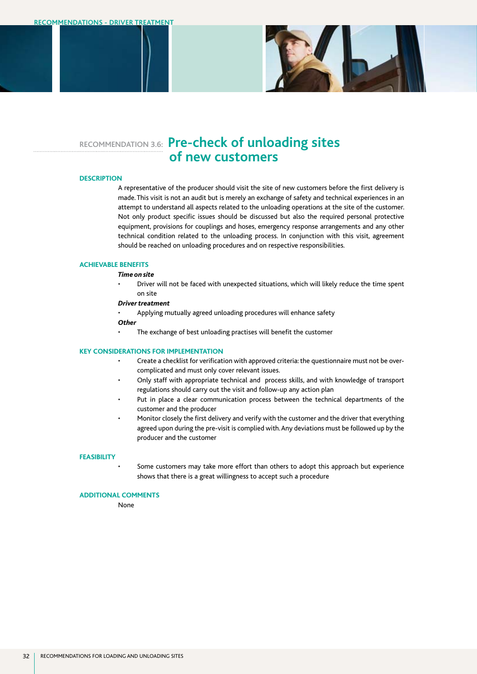

# **RECOMMENDATION 3.6: Pre-check of unloading sites of new customers**

#### **Description**

A representative of the producer should visit the site of new customers before the first delivery is made. This visit is not an audit but is merely an exchange of safety and technical experiences in an attempt to understand all aspects related to the unloading operations at the site of the customer. Not only product specific issues should be discussed but also the required personal protective equipment, provisions for couplings and hoses, emergency response arrangements and any other technical condition related to the unloading process. In conjunction with this visit, agreement should be reached on unloading procedures and on respective responsibilities.

#### **Achievable benefits**

#### *Time on site*

Driver will not be faced with unexpected situations, which will likely reduce the time spent on site

#### *Driver treatment*

- Applying mutually agreed unloading procedures will enhance safety
- *Other*
	- The exchange of best unloading practises will benefit the customer

#### **Key considerations for implementation**

- Create a checklist for verification with approved criteria: the questionnaire must not be overcomplicated and must only cover relevant issues.
- Only staff with appropriate technical and process skills, and with knowledge of transport regulations should carry out the visit and follow-up any action plan
- Put in place a clear communication process between the technical departments of the customer and the producer
- Monitor closely the first delivery and verify with the customer and the driver that everything agreed upon during the pre-visit is complied with. Any deviations must be followed up by the producer and the customer

#### **Feasibility**

Some customers may take more effort than others to adopt this approach but experience shows that there is a great willingness to accept such a procedure

#### **Additional comments**

None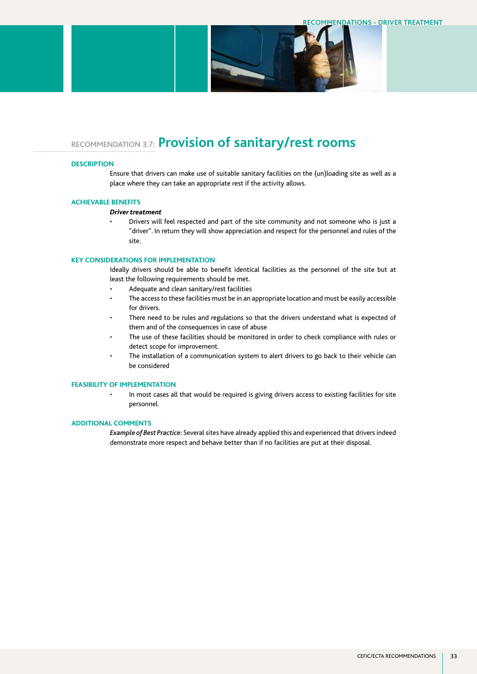**recommendations - driver treatment**



## **RECOMMENDATION 3.7: Provision of sanitary/rest rooms**

#### **Description**

Ensure that drivers can make use of suitable sanitary facilities on the (un)loading site as well as a place where they can take an appropriate rest if the activity allows.

#### **Achievable benefits**

#### *Driver treatment*

Drivers will feel respected and part of the site community and not someone who is just a "driver". In return they will show appreciation and respect for the personnel and rules of the site.

#### **Key considerations for implementation**

Ideally drivers should be able to benefit identical facilities as the personnel of the site but at least the following requirements should be met.

- • Adequate and clean sanitary/rest facilities
- The access to these facilities must be in an appropriate location and must be easily accessible for drivers.
- There need to be rules and regulations so that the drivers understand what is expected of them and of the consequences in case of abuse
- The use of these facilities should be monitored in order to check compliance with rules or detect scope for improvement.
- The installation of a communication system to alert drivers to go back to their vehicle can be considered

#### **Feasibility of implementation**

In most cases all that would be required is giving drivers access to existing facilities for site personnel.

#### **Additional comments**

*Example of Best Practice:*Several sites have already applied this and experienced that drivers indeed demonstrate more respect and behave better than if no facilities are put at their disposal.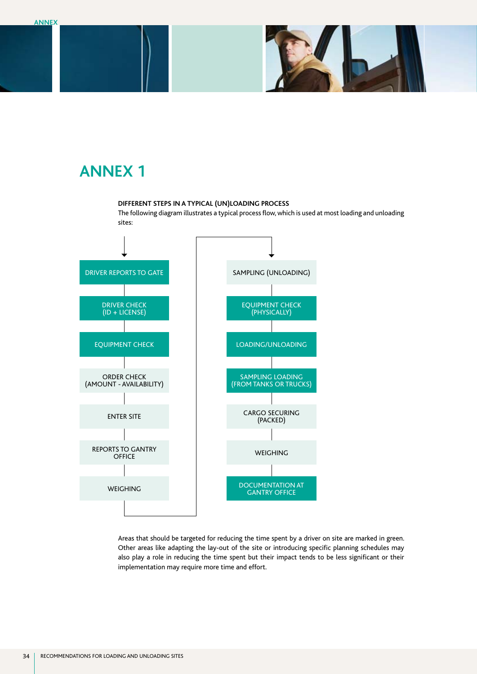

# **annex 1**



The following diagram illustrates a typical process flow,which is used at most loading and unloading sites:



Areas that should be targeted for reducing the time spent by a driver on site are marked in green. Other areas like adapting the lay-out of the site or introducing specific planning schedules may also play a role in reducing the time spent but their impact tends to be less significant or their implementation may require more time and effort.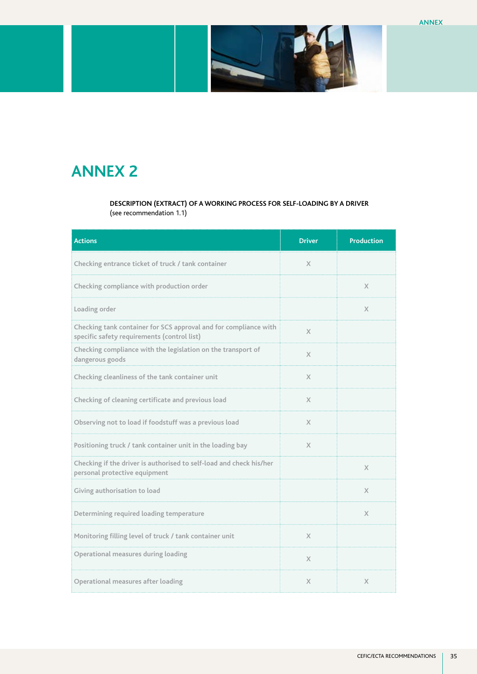

# **annex 2**

#### **Description (extract) of a working process for self-loading by a driver** (see recommendation 1.1)

| <b>Actions</b>                                                                                                  | <b>Driver</b> | <b>Production</b> |
|-----------------------------------------------------------------------------------------------------------------|---------------|-------------------|
| Checking entrance ticket of truck / tank container                                                              | X             |                   |
| Checking compliance with production order                                                                       |               | X                 |
| Loading order                                                                                                   |               | $\times$          |
| Checking tank container for SCS approval and for compliance with<br>specific safety requirements (control list) | X             |                   |
| Checking compliance with the legislation on the transport of<br>dangerous goods                                 | $\times$      |                   |
| Checking cleanliness of the tank container unit                                                                 | X             |                   |
| Checking of cleaning certificate and previous load                                                              | X             |                   |
| Observing not to load if foodstuff was a previous load                                                          | X             |                   |
| Positioning truck / tank container unit in the loading bay                                                      | X             |                   |
| Checking if the driver is authorised to self-load and check his/her<br>personal protective equipment            |               | $\times$          |
| Giving authorisation to load                                                                                    |               | $\chi$            |
| Determining required loading temperature                                                                        |               | X                 |
| Monitoring filling level of truck / tank container unit                                                         | X             |                   |
| Operational measures during loading                                                                             | X             |                   |
| <b>Operational measures after loading</b>                                                                       | $\times$      | $\times$          |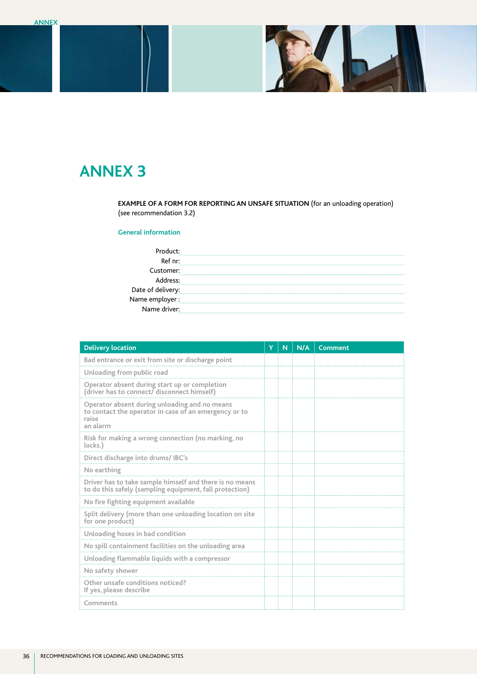# **annex 3**

**ANNEX**

**Example of a FORM FOR Reporting AN Unsafe Situation** (for an unloading operation) (see recommendation 3.2)

#### **General information**

| Ket nr <sup>.</sup> |                                                                                                                      |
|---------------------|----------------------------------------------------------------------------------------------------------------------|
| :stomer:            |                                                                                                                      |
| dress.              |                                                                                                                      |
|                     | Date of delivery:<br>and the contract of delivery:<br>and the contract of delivery:<br>and the contract of delivery: |
| Name employer :     |                                                                                                                      |
| Name driver:        |                                                                                                                      |

| <b>Delivery location</b>                                                                                                    | Y | N | N/A | <b>Comment</b> |
|-----------------------------------------------------------------------------------------------------------------------------|---|---|-----|----------------|
| Bad entrance or exit from site or discharge point                                                                           |   |   |     |                |
| Unloading from public road                                                                                                  |   |   |     |                |
| Operator absent during start up or completion<br>(driver has to connect/ disconnect himself)                                |   |   |     |                |
| Operator absent during unloading and no means<br>to contact the operator in case of an emergency or to<br>raise<br>an alarm |   |   |     |                |
| Risk for making a wrong connection (no marking, no<br>locks.)                                                               |   |   |     |                |
| Direct discharge into drums/IBC's                                                                                           |   |   |     |                |
| No earthing                                                                                                                 |   |   |     |                |
| Driver has to take sample himself and there is no means<br>to do this safely (sampling equipment, fall protection)          |   |   |     |                |
| No fire fighting equipment available                                                                                        |   |   |     |                |
| Split delivery (more than one unloading location on site<br>for one product)                                                |   |   |     |                |
| Unloading hoses in bad condition                                                                                            |   |   |     |                |
| No spill containment facilities on the unloading area                                                                       |   |   |     |                |
| Unloading flammable liquids with a compressor                                                                               |   |   |     |                |
| No safety shower                                                                                                            |   |   |     |                |
| Other unsafe conditions noticed?<br>If yes, please describe                                                                 |   |   |     |                |
| Comments                                                                                                                    |   |   |     |                |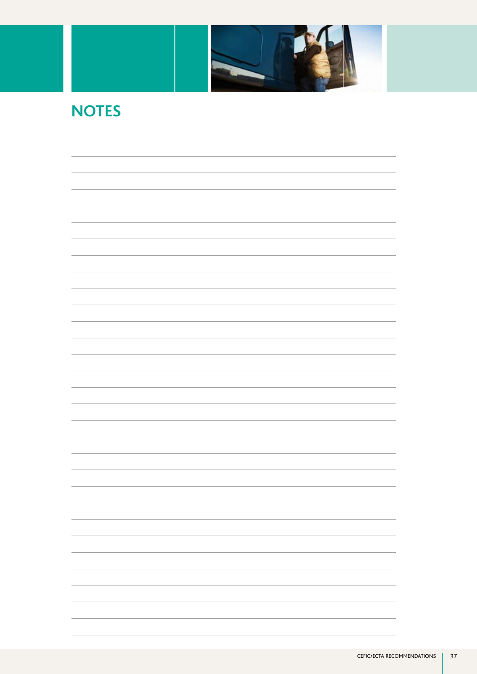

# **NOTES**

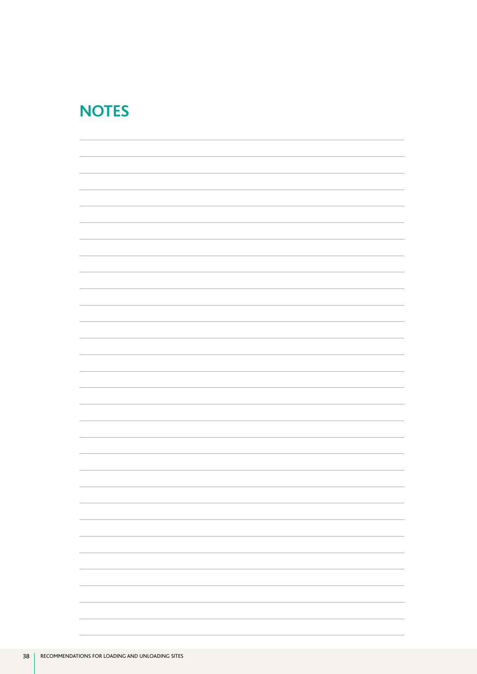# **NOTES**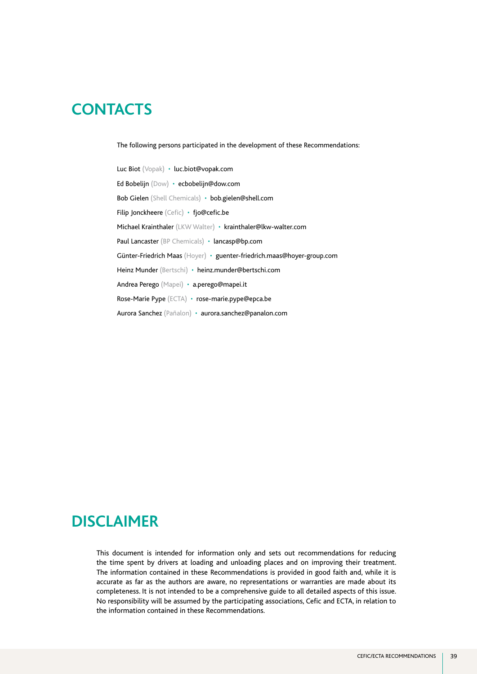# **Contacts**

The following persons participated in the development of these Recommendations:

Luc Biot (Vopak) • luc.biot@vopak.com Ed Bobelijn (Dow) • ecbobelijn@dow.com Bob Gielen (Shell Chemicals) • bob.gielen@shell.com Filip Jonckheere (Cefic) • fjo@cefic.be Michael Krainthaler (LKW Walter) • krainthaler@lkw-walter.com Paul Lancaster (BP Chemicals) • lancasp@bp.com Günter-Friedrich Maas (Hoyer) • guenter-friedrich.maas@hoyer-group.com Heinz Munder (Bertschi) • heinz.munder@bertschi.com Andrea Perego (Mapei) • a.perego@mapei.it Rose-Marie Pype (ECTA) • rose-marie.pype@epca.be Aurora Sanchez (Pañalon) • aurora.sanchez@panalon.com

## **DISCLAIMER**

This document is intended for information only and sets out recommendations for reducing the time spent by drivers at loading and unloading places and on improving their treatment. The information contained in these Recommendations is provided in good faith and, while it is accurate as far as the authors are aware, no representations or warranties are made about its completeness. It is not intended to be a comprehensive guide to all detailed aspects of this issue. No responsibility will be assumed by the participating associations, Cefic and ECTA, in relation to the information contained in these Recommendations.